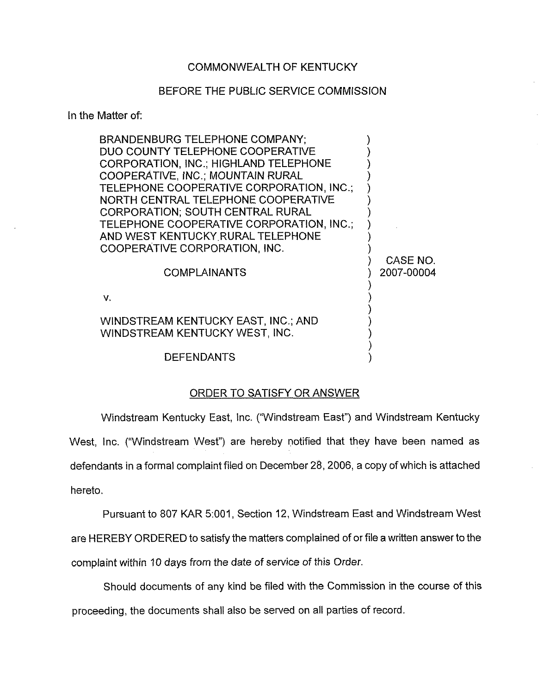# COMMONWEALTH OF KENTUCKY

# BEFORE THE PUBLIC SERVICE COMMISSION

# In the Matter of:

| <b>BRANDENBURG TELEPHONE COMPANY;</b><br>DUO COUNTY TELEPHONE COOPERATIVE<br>CORPORATION, INC.; HIGHLAND TELEPHONE<br><b>COOPERATIVE, INC.; MOUNTAIN RURAL</b><br>TELEPHONE COOPERATIVE CORPORATION, INC.;<br>NORTH CENTRAL TELEPHONE COOPERATIVE<br><b>CORPORATION: SOUTH CENTRAL RURAL</b><br>TELEPHONE COOPERATIVE CORPORATION, INC.;<br>AND WEST KENTUCKY RURAL TELEPHONE<br>COOPERATIVE CORPORATION, INC. |                        |
|----------------------------------------------------------------------------------------------------------------------------------------------------------------------------------------------------------------------------------------------------------------------------------------------------------------------------------------------------------------------------------------------------------------|------------------------|
| <b>COMPLAINANTS</b>                                                                                                                                                                                                                                                                                                                                                                                            | CASE NO.<br>2007-00004 |
| v.                                                                                                                                                                                                                                                                                                                                                                                                             |                        |
| WINDSTREAM KENTUCKY EAST, INC.; AND<br>WINDSTREAM KENTUCKY WEST, INC.                                                                                                                                                                                                                                                                                                                                          |                        |
| <b>DEFENDANTS</b>                                                                                                                                                                                                                                                                                                                                                                                              |                        |

# ORDER TO SATISFY OR ANSWER

Windstream Kentucky East, Inc. ("Windstream East") and Windstream Kentucky West, Inc. ("Windstream West") are hereby notified that they have been named as defendants in a formal complaint filed on December 28, 2006, a copy of which is attached hereto.

Pursuant to 807 KAR 5:001, Section 12, Windstream East and Windstream West are HEREBY ORDERED to satisfy the matters complained of or file a written answer to the complaint within 10 days from the date of service of this Order.

Should documents of any kind be filed with the Commission in the course of this proceeding, the documents shall also be served on all parties of record.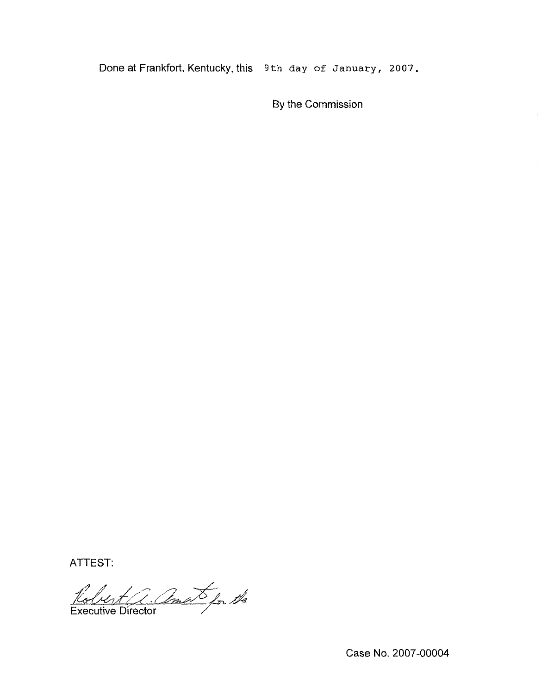Done at Frankfort, Kentucky, this 9th day of January, 2007.

By the Commission

 $\frac{1}{2}$ 

ATTEST:

Robert a. and for the

Case No. 2007-00004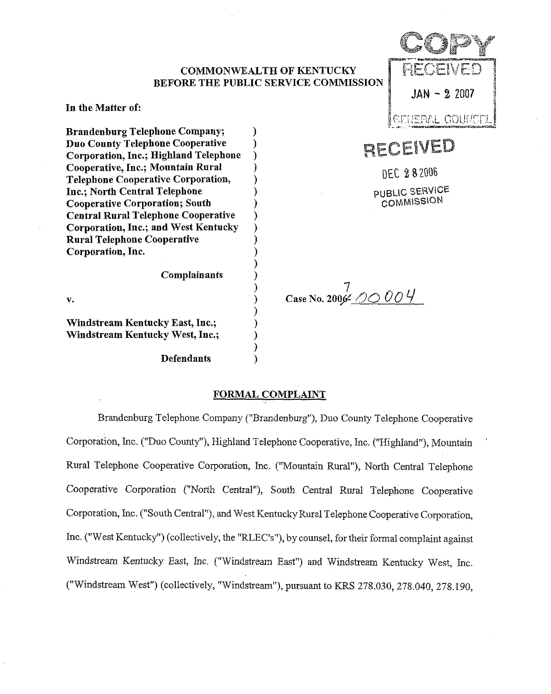# COMMONWEALTH OF KENTUCKY BEPORE THE PUBLIC SERVICE COMMISSION

) ) ) ) )

)

) ) ) ) ) )

) ) ) ) )

In the Matter of:

Brandenburg Telephone Company; Duo County Telephone Cooperative Corporation, Inc.; Highland Telephone Cooperative, Inc.; Mountain Rural Telephone Cooperative Corporation, Inc,; North Central Telephone Cooperative Corporation; South Central Rural Telephone Cooperative Corporation, Inc.; and West Kentucky Rural Telephone Cooperative Corporation, Inc.

**Complainants** 

 $\mathbf{v}$ .

Windstream Kentucky East, Inc.; Windstream Kentucky West, Inc.;

Defendants

 $JAN - 22007$ 

 $EFRL$  COUNCEL

**RECEIVED** 

DEC 282006 PUBLIC SERVICE COMMISSION

) Case No. 2006 - 200 0 0 1

# FORMAL COMPLAINT

Brandenburg Telephone Company ("Brandenburg"), Duo County Telephone Cooperative Corporation, Inc. ("Duo County"), Highland Telephone Cooperative, Inc. ("Highland"), Mountain Rural Telephone Cooperative Corporation, Inc. ("Mountain Rural" ), North Central Telephone Cooperative Corporation ("North Central" }, South Central Rural Telephone Cooperative Corporation, Inc. ("South Central" ), and West Kentucky Rural Telephone Cooperative Corporation, Inc. ("West Kentucky") (collectively, the "RLEC's"), by counsel, for their formal complaint against Windstrearn Kentucky East, Inc. ("Windstream East") and Windstream Kentucky West, Inc. ("Windstream West") (collectively, "Windstream"), pursuant to KRS 278.030, 278.040, 278.190,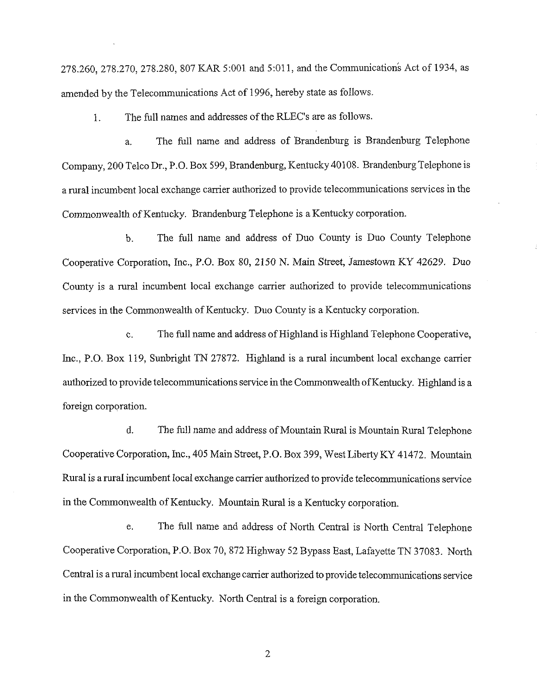278,260, 278,270, 278,280, 807 KAR 5:001 and 5:011, and the Communications Act of 1934, as amended by the Telecommunications Act of 1996, hereby state as follows.

1. The full names and addresses of the RLEC's are as follows.

a. The full name and address of Brandenburg is Brandenburg Telephone Company, 200 Telco Dr., P.O. Box 599, Brandenburg, Kentucky 40108. Brandenburg Telephone is a rural incumbent local exchange carrier authorized to provide telecommunications services in the Commonwealth of Kentucky. Brandenburg Telephone is a Kentucky corporation.

b. The full name and address of Duo County is Duo County Telephone Cooperative Corporation, Inc,, P.O. Box 80, 2150 N. Main Street, Jamestown KY 42629. Duo County is a rural incumbent local exchange carrier authorized to provide telecommunications services in the Commonwealth of Kentucky. Duo County is a Kentucky corporation.

c. The full name and address of Highland is Highland Telephone Cooperative, Inc., P.O. Box 119, Sunbright TN 27872. Highland is a rural incumbent local exchange carrier authorized to provide telecommunications service in the Commonwealth of Kentucky. Highland is a foreign corporation.

d. The full name and address of Mountain Rural is Mountain Rural Telephone Cooperative Corporation, Inc., 405 Main Street, P.O.Box 399,West Liberty KY 41472. Mountain Rural is a rural incumbent local exchange carrier authorized to provide telecommunications service in the Commonwealth of Kentucky. Mountain Rural is a Kentucky corporation.

e. The full name and address of North Central is North Central Telephone Cooperative Corporation, P.O. Box 70, 872 Highway 52 Bypass East, Lafayette TN 37083. North Central is a rural incumbent local exchange carrier authorized to provide telecommunications service in the Commonwealth of Kentucky. North Central is a foreign corporation.

 $\overline{2}$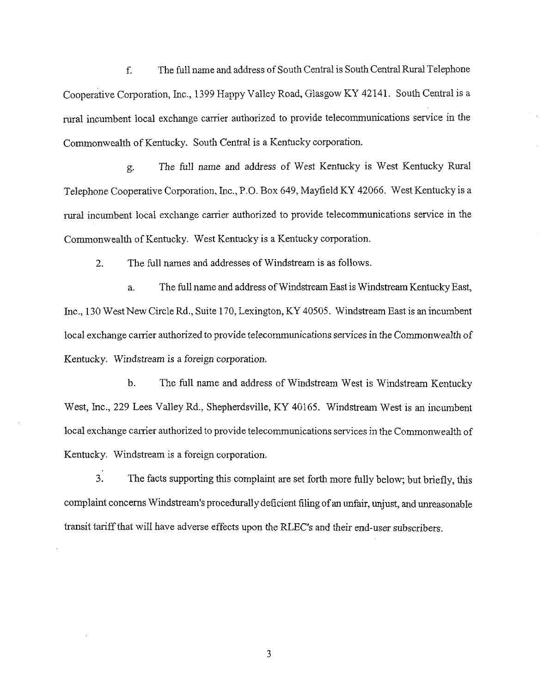f. The full name and address of South Central is South Central Rural Telephone Cooperative Corporation, Inc., 1399 Happy Valley Road, Glasgow KY 42141. South Central is a rural incumbent local exchange carrier authorized to provide telecommunications service in the Commonwealth of Kentucky. South Central is a Kentucky corporation.

g. The full name and address of West Kentucky is West Kentucky Rural Telephone Cooperative Corporation, Inc., P.O. Box 649, Mayfield KY 42066. West Kentucky is a rural incumbent local exchange carrier authorized to provide telecommunications service in the Commonwealth of Kentucky. West Kentucky is a Kentucky corporation.

2. The full names and addresses of Windstream is as follows.

a. The full name and address of Windstream East is Windstream Kentucky East, Inc., 130 West New Circle Rd., Suite 170, Lexington, KY 40505. Windstream East is an incumbent local exchange carrier authorized to provide telecommunications services in the Commonwealth of Kentucky. Windstream is a foreign corporation.

b. The full name and address of Windstream West is Windstream Kentucky West, Inc., 229 Lees Valley Rd., Shepherdsville, KY 40165. Windstream West is an incumbent local exchange carrier authorized to provide telecommunications services in the Commonwealth of Kentucky. Windstream is a foreign corporation.

3, The facts supporting this complaint are set forth more fully below; but briefly, this complaint concerns Windstream's procedurally deficient filing of an unfair, unjust, and unreasonable transit tariff that will have adverse effects upon the RLEC's and their end-user subscribers.

3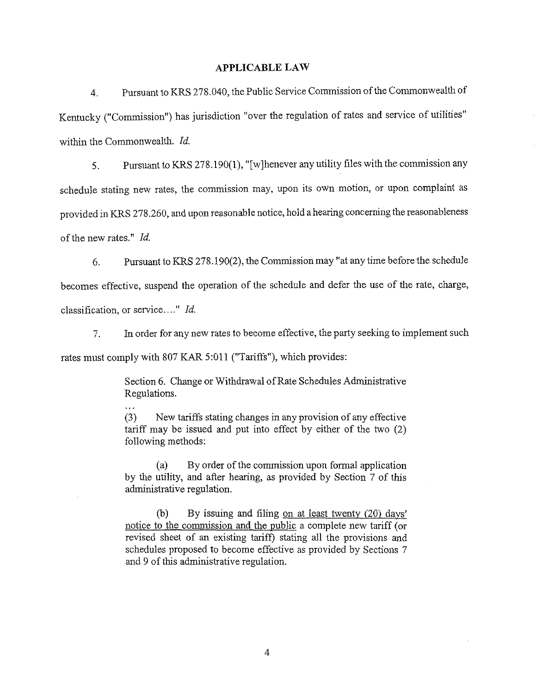### **APPLICABLE LAW**

4. Pursuant to KRS 278.040, the Public Service Commission of the Commonwealth of Kentucky ("Commission"} has jurisdiction "over the regulation of rates and service of utilities" within the Commonwealth. Id.

5. Pursuant to KRS 278.190(1),"[w]henever any utility files with the commission any schedule stating new rates, the commission may, upon its own motion, or upon complaint as provided in KRS 278.260, and upon reasonable notice, hold a hearing concerning the reasonableness of the new rates." Id.

 $6.$  Pursuant to KRS 278.190(2), the Commission may "at any time before the schedule becomes effective, suspend the operation of the schedule and defer the use of the rate, charge, classification, or service...." Id.

7. In order for any new rates to become effective, the party seeking to implement such rates must comply with 807 KAR 5:011 ("Tariffs"), which provides:

> Section 6. Change or Withdrawal of Rate Schedules Administrative Regulations.

 $\ddotsc$ 

(3) New tariffs stating changes in any provision of any effective tariff may be issued and put into effect by either of the two (2) following methods:

(a) By order of the commission upon formal application by the utility, and after hearing, as provided by Section 7 of this administrative regulation.

(b) By issuing and filing on at least twenty  $(20)$  days' to the commission and the public a complete new tariff (or revised sheet of an existing tariff) stating all the provisions and schedules proposed to become effective as provided by Sections 7 and 9 of this administrative regulation.

 $\overline{4}$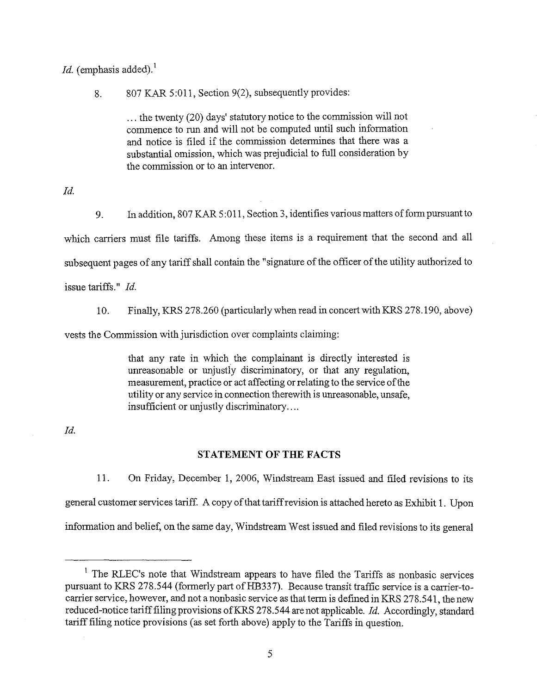Id. (emphasis added).<sup>1</sup>

807 KAR 5:011, Section 9(2), subsequently provides: 8.

> $\ldots$  the twenty (20) days' statutory notice to the commission will not commence to run and will not be computed until such information and notice is filed if the commission determines that there was a substantial omission, which was prejudicial to full consideration by the commission or to an intervenor.

Id.

9. In addition, 807 KAR 5:011, Section 3, identifies various matters of form pursuant to which carriers must file tariffs. Among these items is a requirement that the second and all subsequent pages of any tariff shall contain the "signature of the officer of the utility authorized to issue tariffs." Id.

10. Finally, KRS 278.260 (particularly when read in concert with KRS 278.190, above)

vests the Commission with jurisdiction over complaints claiming:

that any rate in which the complainant is directly interested is unreasonable or unjustly discriminatory, or that any regulation, measurement, practice or act affecting or relating to the service ofthe utility or any service in connection therewith is unreasonable, unsafe, insufficient or unjustly discriminatory....

Id.

# STATEMENT OF THE FACTS

11. On Friday, December 1, 2006, Windstream East issued and filed revisions to its general customer services tariff. A copy of that tariff revision is attached hereto as Exhibit 1. Upon information and belief, on the same day, Windstream West issued and filed revisions to its general

 $<sup>1</sup>$  The RLEC's note that Windstream appears to have filed the Tariffs as nonbasic services</sup> pursuant to KRS 278.544 (formerly part of HB337). Because transit traffic service is a carrier-tocarrier service, however, and not a nonbasic service as that term is defined in KRS 278.541, the new reduced-notice tariff filing provisions of KRS 278.544 are not applicable. Id. Accordingly, standard tariff filing notice provisions (as set forth above) apply to the Tariffs in question.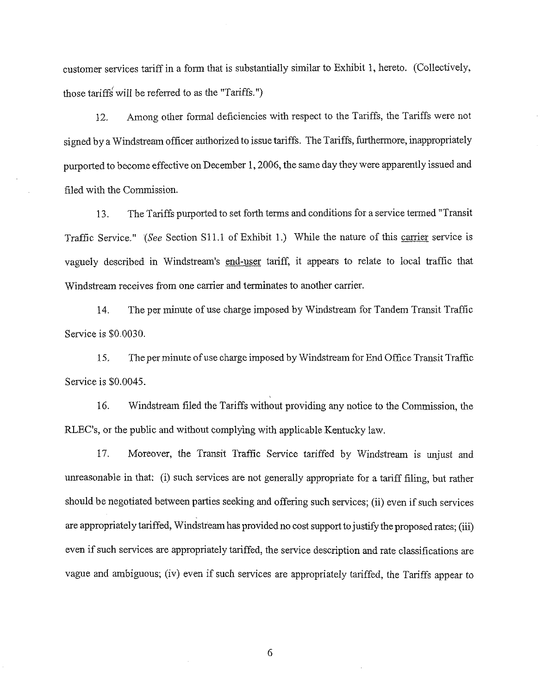customer services tariff in a form that is substantially similar to Exhibit 1, hereto. (Collectively, those tariffs will be referred to as the "Tariffs.")

12. Among other formal deficiencies with respect to the Tariffs, the Tariffs were not signed by a Windstream officer authorized to issue tariffs. The Tariffs, furthermore, inappropriately purported to become effective on December 1, 2006, the same day they were apparently issued and filed with the Commission.

13. The Tariffs purported to set forth terms and conditions for a service termed "Transit Traffic Service." (See Section S11.1 of Exhibit 1.) While the nature of this carrier service is vaguely described in Windstream's end-user tariff, it appears to relate to local traffic that Windstream receives from one carrier and terminates to another carrier.

14. The per minute of use charge imposed by Windstream for Tandem Transit Traffic Service is \$0.0030.

15. The per minute of use charge imposed by Windstream for End Office Transit Traffic Service is \$0.0045.

16. Windstream filed the Tariffs without providing any notice to the Commission, the RLEC's, or the public and without complying with applicable Kentucky law.

17. Moreover, the Transit Traffic Service tariffed by Windstream is unjust and unreasonable in that; (i) such services are not generally appropriate for a tariff filing, but rather should be negotiated between parties seeking and offering such services; (ii) even if such services are appropriately tariffed, Windstream has provided no cost support to justify the proposed rates; (iii) even if such services are appropriately tariffed, the service description and rate classifications are vague and ambiguous; (iv) even if such services are appropriately tariffed, the Tariffs appear to

6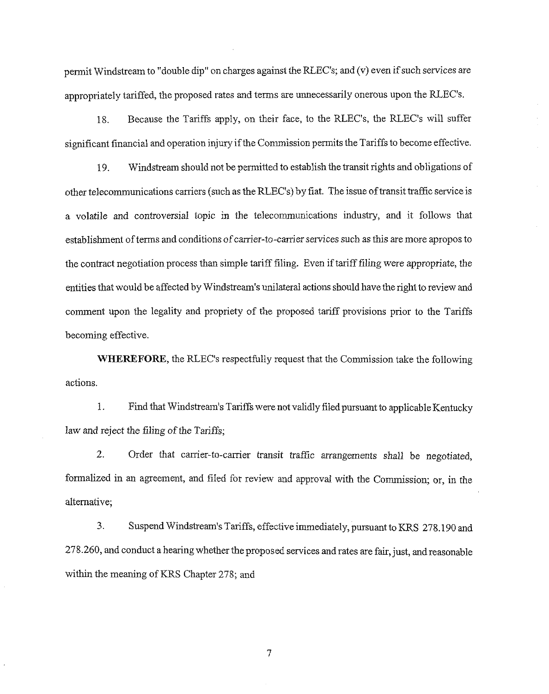permit Windstream to "double dip" on charges against the RLEC's; and (v) even if such services are appropriately tariffed, the proposed rates and terms are unnecessarily onerous upon the RLEC's.

18, Because the Tariffs apply, on their face, to the RLEC's, the RLEC's will suffer significant financial and operation injury if the Commission permits the Tariffs to become effective.

19. Windstream should not be permitted to establish the transit rights and obligations of other telecommunications carriers (such as the RLEC's) by fiat. The issue oftransit traffic service is a volatile and controversial topic in the telecommunications industry, and it follows that establishment of terms and conditions of carrier-to-carrier services such as this are more apropos to the contract negotiation process than simple tariff filing. Even iftariff filing were appropriate, the entities that would be affected by Windstream's unilateral actions should have the right to review and comment upon the legality and propriety of the proposed tariff provisions prior to the Tariffs becoming effective.

WHEREFORE, the RLEC's respectfully request that the Commission take the following actions.

1. Find that Windstream's Tariffs were not validly filed pursuant to applicable Kentucky law and reject the filing of the Tariffs;

 $\overline{2}$ . Order that carrier-to-carrier transit traffic arrangements shall be negotiated, formalized in an agreement, and filed for review and approval with the Commission; or, in the alternative;

3. Suspend Windstream's Tariffs, effective immediately, pursuant to KRS 278.190and 278.260, and conduct <sup>a</sup> hearing whether the proposed services and rates are fair, just, and reasonable within the meaning of KRS Chapter 278, and

 $\overline{\mathcal{I}}$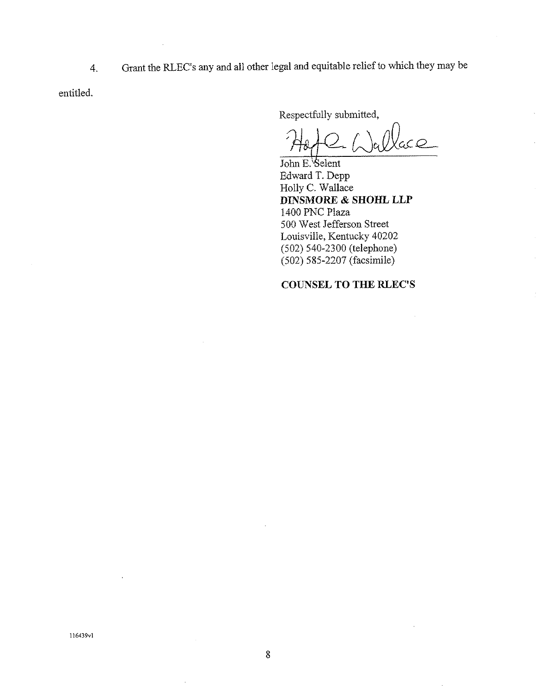4. Grant the RLEC's any and all other legal and equitable relief to which they may be

entitled.

Respectfully submitted,

ace\_

John E. Selent Edward T. Depp Holly C, Wallace DINSMORE & SHOHL LLP 1400 PNC Plaza 500 West Jefferson Street Louisville, Kentucky 40202 (502) 540-2300 (telephone) {502)585-2207 (facsimile)

# COUNSEL TO THE RLEC'S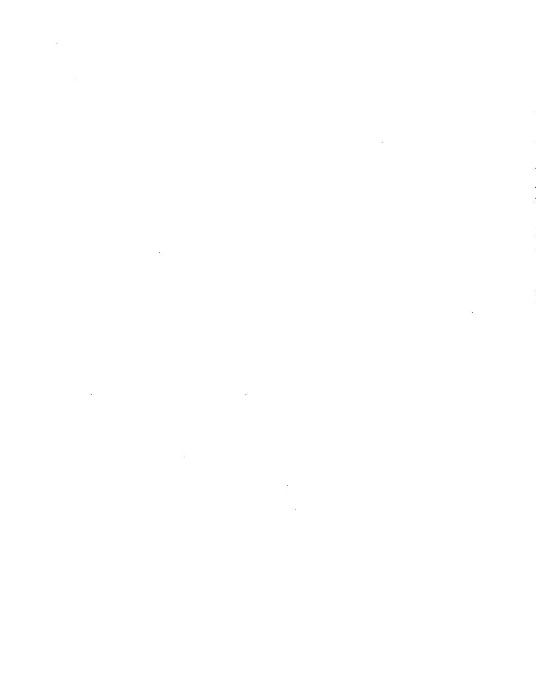$\mathcal{L}^{\text{max}}_{\text{max}}$  and  $\mathcal{L}^{\text{max}}_{\text{max}}$ 

 $\label{eq:2.1} \frac{1}{\sqrt{2}}\int_{\mathbb{R}^3}\frac{1}{\sqrt{2}}\left(\frac{1}{\sqrt{2}}\right)^2\frac{1}{\sqrt{2}}\left(\frac{1}{\sqrt{2}}\right)^2\frac{1}{\sqrt{2}}\left(\frac{1}{\sqrt{2}}\right)^2\frac{1}{\sqrt{2}}\left(\frac{1}{\sqrt{2}}\right)^2.$ 

 $\mathcal{A}^{\mathcal{A}}$ 

 $\label{eq:2.1} \frac{1}{\sqrt{2}}\int_{\mathbb{R}^3}\frac{1}{\sqrt{2}}\left(\frac{1}{\sqrt{2}}\right)^2\frac{1}{\sqrt{2}}\left(\frac{1}{\sqrt{2}}\right)^2\frac{1}{\sqrt{2}}\left(\frac{1}{\sqrt{2}}\right)^2\frac{1}{\sqrt{2}}\left(\frac{1}{\sqrt{2}}\right)^2.$ 

 $\mathcal{L}(\mathcal{L}(\mathcal{L}))$  . The contract of the contract of the contract of the contract of the contract of the contract of the contract of the contract of the contract of the contract of the contract of the contract of the co  $\label{eq:2.1} \frac{1}{\sqrt{2}}\int_{\mathbb{R}^3}\frac{1}{\sqrt{2}}\left(\frac{1}{\sqrt{2}}\right)^2\frac{1}{\sqrt{2}}\left(\frac{1}{\sqrt{2}}\right)^2\frac{1}{\sqrt{2}}\left(\frac{1}{\sqrt{2}}\right)^2\frac{1}{\sqrt{2}}\left(\frac{1}{\sqrt{2}}\right)^2\frac{1}{\sqrt{2}}\left(\frac{1}{\sqrt{2}}\right)^2\frac{1}{\sqrt{2}}\frac{1}{\sqrt{2}}\frac{1}{\sqrt{2}}\frac{1}{\sqrt{2}}\frac{1}{\sqrt{2}}\frac{1}{\sqrt{2}}$ 

 $\label{eq:2.1} \frac{1}{\sqrt{2}}\int_{\mathbb{R}^3}\frac{1}{\sqrt{2}}\left(\frac{1}{\sqrt{2}}\right)^2\frac{1}{\sqrt{2}}\left(\frac{1}{\sqrt{2}}\right)^2\frac{1}{\sqrt{2}}\left(\frac{1}{\sqrt{2}}\right)^2\frac{1}{\sqrt{2}}\left(\frac{1}{\sqrt{2}}\right)^2\frac{1}{\sqrt{2}}\left(\frac{1}{\sqrt{2}}\right)^2\frac{1}{\sqrt{2}}\frac{1}{\sqrt{2}}\frac{1}{\sqrt{2}}\frac{1}{\sqrt{2}}\frac{1}{\sqrt{2}}\frac{1}{\sqrt{2}}$  $\label{eq:2.1} \mathcal{L}(\mathcal{L}^{\text{max}}_{\mathcal{L}}(\mathcal{L}^{\text{max}}_{\mathcal{L}}),\mathcal{L}^{\text{max}}_{\mathcal{L}^{\text{max}}_{\mathcal{L}}})$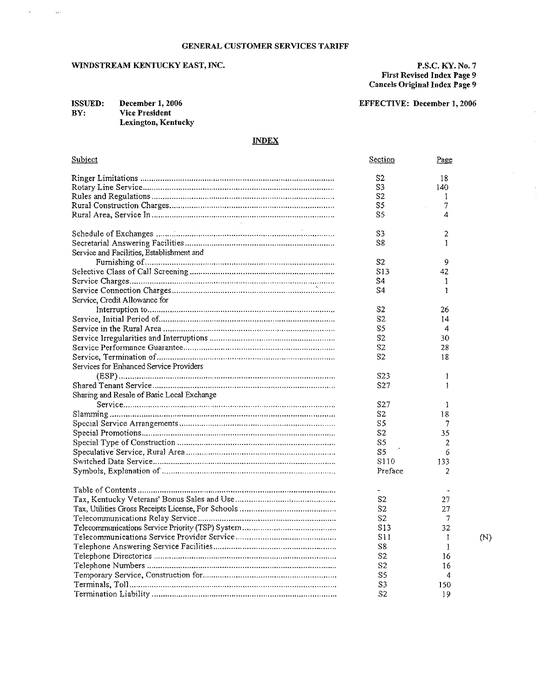# WINDSTREAM KENTUCKY EAST, INC. P.S.C. KY. No. 7

First Revised Index Page 9 Cancels Original Index Page 9

 $\hat{\boldsymbol{\theta}}$ 

## **ISSUED:** December 1, 2006<br>BY: Vice President Vice President Lexington, Kentucky

 $\bar{\star}$ 

 $\sim$ 

# EFFECTIVE: December ],<sup>2006</sup>

# INDEX

| <b>Subject</b>                             | Section          | Page |  |
|--------------------------------------------|------------------|------|--|
|                                            | S2               | 18   |  |
|                                            | S3               | 140  |  |
|                                            | S2               | 1    |  |
|                                            | S5               | 7    |  |
|                                            | S5               | 4    |  |
|                                            | S3               | 2    |  |
|                                            | S8               | 1    |  |
| Service and Facilities, Establishment and  |                  |      |  |
|                                            | S2               | 9    |  |
|                                            | S13              | 42   |  |
|                                            | S4               | 1    |  |
|                                            | S4               | ı    |  |
| Service, Credit Allowance for              |                  |      |  |
|                                            | S2               | 26   |  |
|                                            | S2               | 14   |  |
|                                            | S5               | 4    |  |
|                                            | S2               | 30   |  |
|                                            | S2               | 28   |  |
|                                            | S2               | 18   |  |
| Services for Enhanced Service Providers    |                  |      |  |
|                                            | S <sub>2</sub> 3 | ţ    |  |
|                                            | S27              | Ť    |  |
| Sharing and Resale of Basic Local Exchange |                  |      |  |
|                                            | S27              | 1    |  |
|                                            | S2               | 18   |  |
|                                            | S5               | 7    |  |
|                                            | S2               | 35   |  |
|                                            | S5               | 2    |  |
|                                            | S5               | 6    |  |
|                                            | S110             | 133  |  |
|                                            | Preface          | 2    |  |
|                                            |                  |      |  |
|                                            | S2               | 27   |  |
|                                            | S2               | 27   |  |
|                                            | S2               | 7    |  |
|                                            | S <sub>13</sub>  | 32   |  |
|                                            | S11              | ì    |  |
|                                            | S8               | 1    |  |
|                                            | S2               | 16   |  |
|                                            | S2               | 16   |  |
|                                            | S5               | 4    |  |
|                                            | S3               | 150  |  |
|                                            | S <sub>2</sub>   | 19   |  |

 $(N)$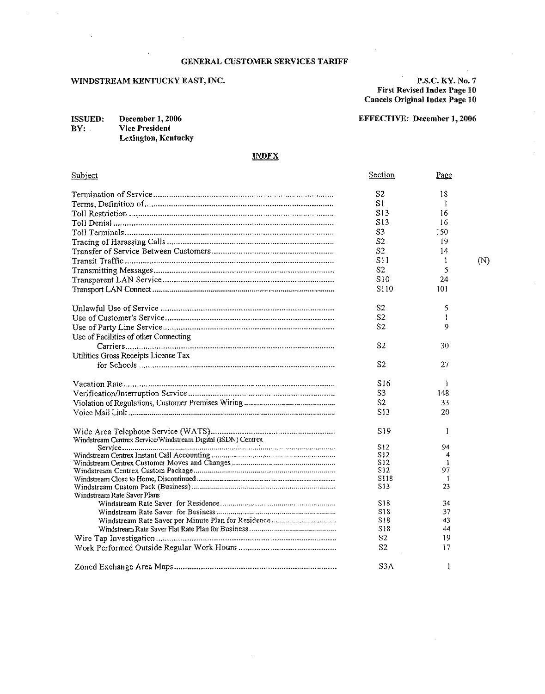# WINDSTREAM KENTUCKY EAST, INC. P.S.C. KY. No. 7

 $\ddot{\phantom{a}}$ 

First Revised Index Page 10 Cancels Original Index Page 10

# EFFECTIVE: December I, 2006

 $\sim$ 

| <b>ISSUED:</b> | <b>December 1, 2006</b> |
|----------------|-------------------------|
| BY:            | Vice President          |
|                | Lexington, Kentuck      |

 $\bar{1}$ 

 $\bar{\rm{a}}$ 

# INDEX

| <u>Subject</u>                                               | Section                 | <u>Page</u> |          |
|--------------------------------------------------------------|-------------------------|-------------|----------|
|                                                              | S <sub>2</sub>          | 18          |          |
|                                                              | SI                      | 1           |          |
|                                                              | S13                     | 16          |          |
|                                                              | S13                     | 16          |          |
|                                                              | S3                      | 150         |          |
|                                                              | S <sub>2</sub>          | 19          |          |
|                                                              | S <sub>2</sub>          | 14          |          |
|                                                              | S11                     | 1           | $\Omega$ |
|                                                              | S2                      | 5           |          |
|                                                              | S10                     | 24          |          |
|                                                              | S110                    | 101         |          |
|                                                              |                         |             |          |
|                                                              | S <sub>2</sub>          | 5           |          |
|                                                              | S <sub>2</sub>          | 1           |          |
|                                                              | S2                      | 9           |          |
| Use of Facilities of other Connecting                        |                         |             |          |
|                                                              | S2                      | 30          |          |
| Utilities Gross Receipts License Tax                         |                         |             |          |
|                                                              | S <sub>2</sub>          | 27          |          |
|                                                              | S16                     | 1           |          |
|                                                              | S3                      | 148         |          |
|                                                              | S <sub>2</sub>          | 33          |          |
|                                                              | S13                     | 20          |          |
|                                                              |                         |             |          |
| Windstream Centrex Service/Windstream Digital (ISDN) Centrex | S19                     | 1           |          |
|                                                              | S12                     | 94          |          |
|                                                              | S12                     | 4           |          |
|                                                              | S12                     | 1           |          |
|                                                              | S12                     | 97          |          |
|                                                              | S118<br>S <sub>13</sub> | 1<br>23     |          |
| Windstream Rate Saver Plans                                  |                         |             |          |
|                                                              | S <sub>18</sub>         | 34          |          |
|                                                              | S18                     | 37          |          |
|                                                              | S18                     | 43          |          |
|                                                              | S18                     | 44          |          |
|                                                              | S2.                     | 19          |          |
|                                                              | S <sub>2</sub>          | 17          |          |
|                                                              | S <sub>3</sub> A        | 1           |          |

(N)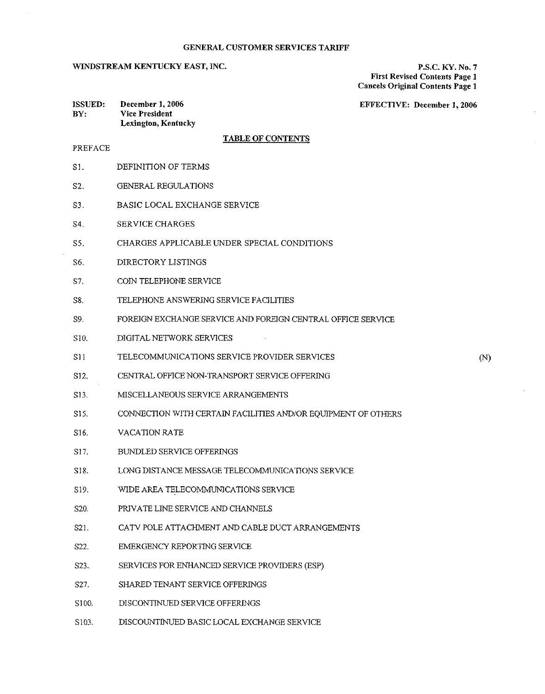# WINDSTREAM KENTUCKY EAST, INC. P.S.C. KY. No. 7

First Revised Contents Page I Cancels Original Contents Page I

| ISSUED:<br>BY:    | December 1, 2006<br>EFFECTIVE: December 1, 2006<br><b>Vice President</b><br>Lexington, Kentucky |   |
|-------------------|-------------------------------------------------------------------------------------------------|---|
| PREFACE           | <b>TABLE OF CONTENTS</b>                                                                        |   |
|                   |                                                                                                 |   |
| SI.               | DEFINITION OF TERMS                                                                             |   |
| S2.               | <b>GENERAL REGULATIONS</b>                                                                      |   |
| 83.               | BASIC LOCAL EXCHANGE SERVICE                                                                    |   |
| S4.               | <b>SERVICE CHARGES</b>                                                                          |   |
| S5.               | CHARGES APPLICABLE UNDER SPECIAL CONDITIONS                                                     |   |
| S6.               | DIRECTORY LISTINGS                                                                              |   |
| S7.               | COIN TELEPHONE SERVICE                                                                          |   |
| S8.               | TELEPHONE ANSWERING SERVICE FACILITIES                                                          |   |
| S9.               | FOREIGN EXCHANGE SERVICE AND FOREIGN CENTRAL OFFICE SERVICE                                     |   |
| S10.              | DIGITAL NETWORK SERVICES                                                                        |   |
| <b>S11</b>        | TELECOMMUNICATIONS SERVICE PROVIDER SERVICES                                                    | C |
| S <sub>12</sub> . | CENTRAL OFFICE NON-TRANSPORT SERVICE OFFERING                                                   |   |
| S <sub>13</sub> . | MISCELLANEOUS SERVICE ARRANGEMENTS                                                              |   |
| SI 5.             | CONNECTION WITH CERTAIN FACILITIES AND/OR EQUIPMENT OF OTHERS                                   |   |
| S <sub>16</sub> . | <b>VACATION RATE</b>                                                                            |   |
| S17.              | <b>BUNDLED SERVICE OFFERINGS</b>                                                                |   |
| S18.              | LONG DISTANCE MESSAGE TELECOMMUNICATIONS SERVICE                                                |   |
| S <sub>19</sub> . | WIDE AREA TELECOMMUNICATIONS SERVICE                                                            |   |
| S <sub>20</sub> . | PRIVATE LINE SERVICE AND CHANNELS                                                               |   |
| S21.              | CATV POLE ATTACHMENT AND CABLE DUCT ARRANGEMENTS                                                |   |
| S <sub>2</sub> 2. | <b>EMERGENCY REPORTING SERVICE</b>                                                              |   |
| S <sub>2</sub> 3. | SERVICES FOR ENHANCED SERVICE PROVIDERS (ESP)                                                   |   |
| S27.              | SHARED TENANT SERVICE OFFERINGS                                                                 |   |

- S]00. DISCONTINUED SERVICE OFFERINGS
- S103. DISCOUNTINUED BASIC LOCAL EXCHANGE SERV]CE

N)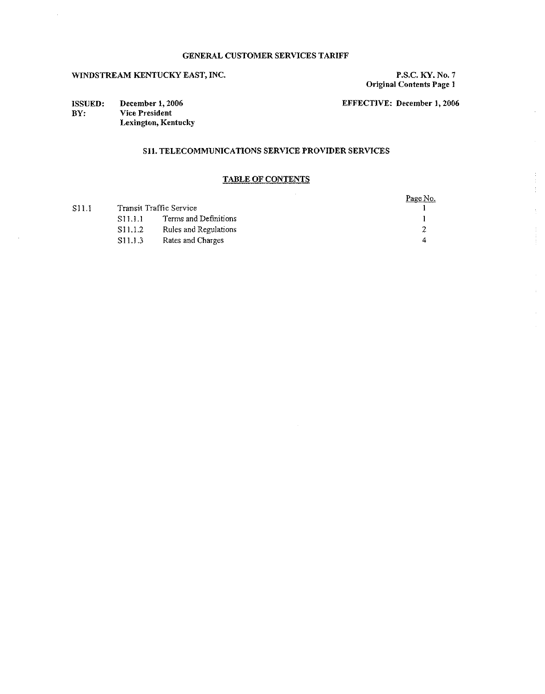# WINDSTREAM KENTUCKY EAST, INC. P.S.C. KY. No. 7

Original Contents Page I

 $\hat{\mathcal{A}}$ 

 $\hat{\phi}$  $\hat{\boldsymbol{\gamma}}$ 

#### ISSUED: BY: December 1, 2006 Vice President Lexington, Kentucky

 $\bar{z}$ 

 $\sim$ 

# EFFECTIVEi December 1, 2006

# Sl1.TELECOMMUNICATIONS SERVICE PROVIDER SERVICES

# TABLE OF CONTENTS

 $\bar{a}$ 

|                   |          |                         | Page No. |
|-------------------|----------|-------------------------|----------|
| S <sub>11.1</sub> |          | Transit Traffic Service |          |
|                   | -S11.1.1 | Terms and Definitions   |          |
|                   | S11.1.2  | Rules and Regulations   |          |
|                   | S11.1.3  | Rates and Charges       | а        |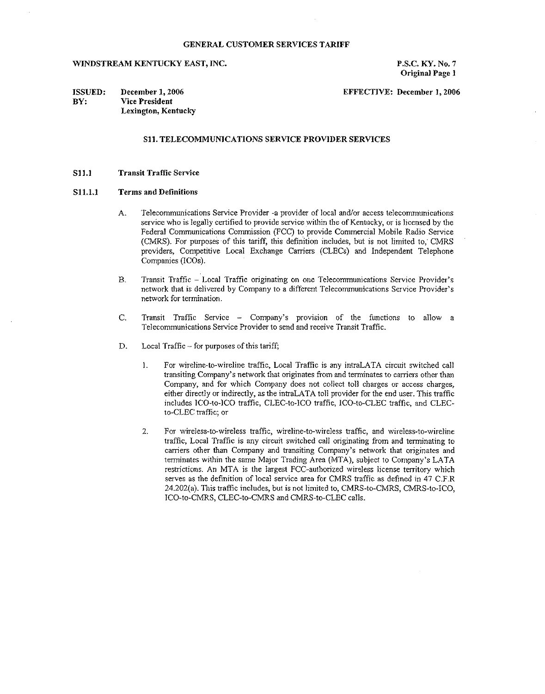#### WINDSTREAM KENTUCKY EAST, INC. **P.S.C.KY. No. 7**

Original Page I

### **ISSUED:** December 1, 2006<br>BY: Vice President Vice President Lexington, Kentucky

#### EFFECTIVE: December 1, 2006

#### SII.TELECOMMUNICATIONS SERVICE PROVIDER SERVICES

#### SII.I Transit Traffic Service

#### S11.1,1 Terms and Definitions

- A. Telecommunications Service Provider -a provider of local and/or access telecommunications service who is legally certified to provide service within the of Kentucky, or is licensed by the Federal Communications Commission (FCC) to provide Commercial Mobile Radio Service (CMRS). For purposes of this tariff, this definition includes, but is not limited to/ CMRS providers, Competitive Local Exchange Carriers (CLECs) and Independent Telephone Companies (ICOs).
- B. Transit Traffic —Local Traffic originating on one Telecommunications Service Provide's network that is delivered by Company to a different Telecommunications Service Provider's network for termination.
- C. Transit Traffic Service Company's provision of the functions to allow <sup>a</sup> Telecommunications Service Provider to send and receive Transit Traffic.
- D. Local Traffic for purposes of this tariff;
	- i. For wireline-to-wireline traffic, Local Traffic is any intraLATA circuit switched call transiting Company's network that originates from and terminates to carriers other than Company, and for which Company does not co!lect toll charges or access charges, either directly or indirectly, as the intraLATA toll provider for the end user. This traffic includes ICO-to-1CO traffic, CLEC-to-ICO traffic, ICO-io-CLEC traffic, and CLECto-CLEC traffic; or
	- 2. For wireless-to-wireless traffic, wireline-to-wireless traffic, and wireless-to-wircline traffic, Local Traffic is any circuit switched call originating from and terminating to carriers other than Company and transiting Company's network that originates and terminates within the same Major Trading Area (MTA), subject to Company's LATA restrictions. An MTA is the largest FCC-authorized wireless license territory which serves as the definition of local service area for CMRS traffic as defined in 47 C.F.R 24.202(a). This traffic includes, but is not limited to, CMRS-to-CMRS, CMRS-to-lCO, ICO-to-CMRS, CLEC-to-CMRS and CMRS-to-CLEC cafis.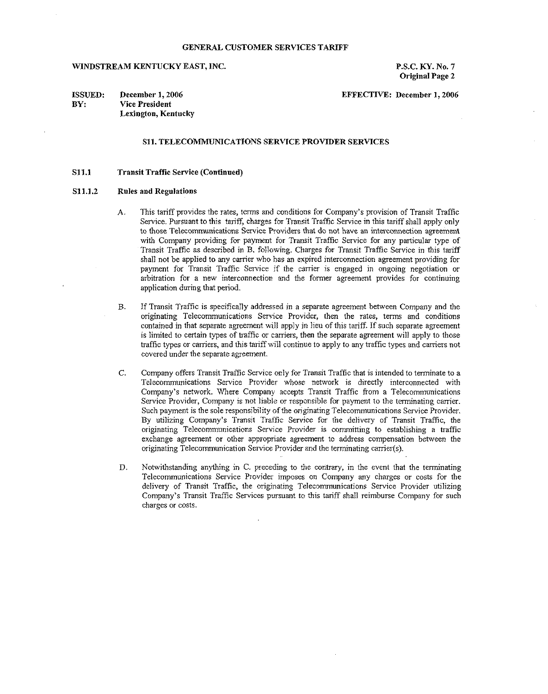#### WINDSTREAM KENTUCKY EAST, INC. P.S.C. KY. No. 7

Original Page 2

### **ISSUED:** December 1, 2006<br>BY: Vice President Vice President Lexington, Kentucky

#### **EFFECTIVE: December 1, 2006**

#### SII.TELECOMMUNICATIONS SERVICE PROVIDER SERVICES

### S11.1 Transit Traffic Service (Continued)

## S11.1.2 Rules and Regulations

- A. This tariff provides the rates, terms and conditions for Company's provision of Transit Traffic Service. Pursuant to this tariff, charges for Transit Traffic Service in this tariff shall apply only to those Telecommunications Service Providers that do not have an interconnection agreement with Company providing for payment for Transit Traffic Service for any particular type of Transit Traffic as described in B. following. Charges for Transit Traffic Service in this tariff shall not be applied to any carrier who has an expired interconnection agreement providing for payment for Transit Traffic Service if the carrier is engaged in ongoing negotiation or arbitration for a new interconnection and the former agreement provides for continuing application during that period. GENERAL CUSTOMER SERVICES TARIF<br>
WINDSTREAM KENTUCKY EAST, INC.<br>
ISSUED: December 1, 2006<br>
BY: Vice President<br>
Lexington, Kentucky<br>
511. TELECOMMUNICATIONS SERVICE PROVIDEE<br>
SIL.1<br>
71. Transit Traffic Service (Continued)<br>
	- $B.$ If Transit Traffic is specifically addressed in a separate agreement between Company and the originating Telecommunications Service Provider, then the rates, terms and conditions contained in that separate agreement will apply in lieu of this tariff. If such separate agreement is limited to certain types of traffic or carriers, then the separate agreement will apply to those traffic types or carriers, and this tariff will continue to apply to any traffic types and carriers not covered under the separate agreement.
	- Company offers Transit Traffic Service only for Transit Trafiic that is intended to terminate to a  $C_{n}$ Telecommunications Service Provider whose network is directly interconnected with Company's network. Where Company accepts Transit Traffic from a Telecommunications Service Provider, Company is not liable or responsible for payment to the terminating carrier. Such payment is the sole responsibility of the originating Telecommunications Service Provider. By utilizing Company's Transit Traffic Service for the delivery of Transit Traffic, the originating Telecommunications Service Prorider is committing to estabhshing a traffic exchange agreement or other appropriate agreement to address compensation between the originating Telecommunication Service Provider and the terminating carrier(s).
	- D. Notwithstanding anything in C. preceding to the contrary, in the event that the terminating Telecommunications Service Provide: imposes on Company any charges or costs for the delivery of Transit Traflie, the originating Telecommunications Service Provider utilizing Company's Transit Traffic Services pursuant to this tariff shall reimburse Company for such charges or costs.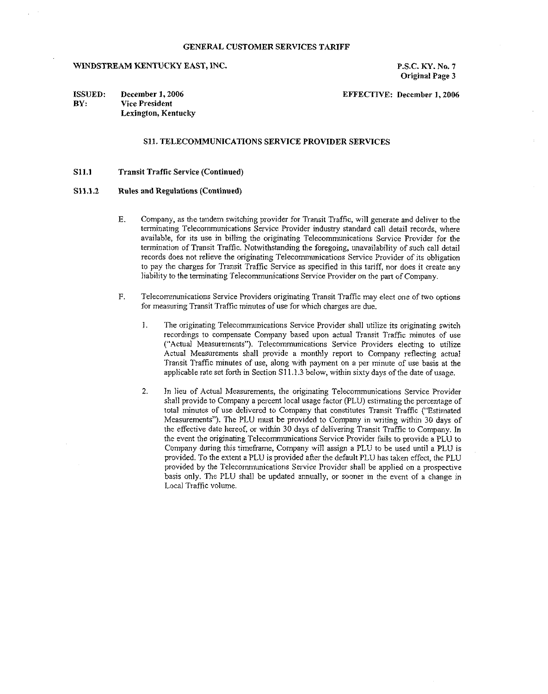#### WINDSTREAM KENTUCKY EAST, INC. P.S.C. KY. No. 7

Original Page 3

#### ISSUED: December 1, 2006<br>BY: Vice President Vice President Lexington, Kentucky

#### EFFECTIVE: December 1, 2006

#### SII.TELECOMMUNICATIONS SERVICE PROVIDER SERVICES

#### S11.1 Transit Traffic Service (Continued)

#### S11.1.2 Rules and Regulations (Continued)

- E. Company, as the tandem switching provider for Transit Traffic, will generate and deliver to the terminatmg Telecommunications Service Provider industry standard call detail records, where available, for its use in billing the originating Telecommunications Service Provider for the termination of Transit Traffic. Notwithstanding the foregoing, unavailability of such call detail records does not relieve the originating Telecommunications Service Provider of its obligation to pay the charges for Transit Traffic Service as specified in this tariff, nor does it create any liability to the terminating Telecommunications Service Provider on the part of Company.
- F. Telecommunications Service Providers originating Transit Traffic may elect one of two options for measuring Transit Traffic minutes of use for which charges are due
	- i. The originating Telecommunications Service Provider shall utilize its originating switch recordmgs to compensate Company based upon actual Transit Traffic minutes of use ("Actual Measurements"). Telecommunications Service Providers electing to utilize Actual Measurements shall provide a monthly report to Company reflecting actual Transit Traffic minutes of use, along with payment on a per minute of use basis at the applicable rate set forth in Section S11.1.3 below, within sixty days of the date of usage.
	- ln lieu of Actual Measurements, the originating Telecommunications Service Provider  $2.$ shall provide to Company a percent local usage factor (PLU) estimating the percentage of total minutes of use delivered to Company that constitutes Transit Traffic ("Estimated Measurements"). The PLU must be provided to Company in writing within 30 days of the effective date hereof, or within 30 days of delivering Transit Traffic to Company. In the event the originating Telecommunications Service Provider fails to provide a PLU to Company during this timeframe, Company will assign a PLU to be used until a PLU is provided. To the extent a PLU is provided after the default PLU has taken effect, the PLU provided by the Telecommunications Service Provider shall be applied on a prospective basis only. The PLU shall be updated annually, or sooner m the event of a change in Local Traffic volume.